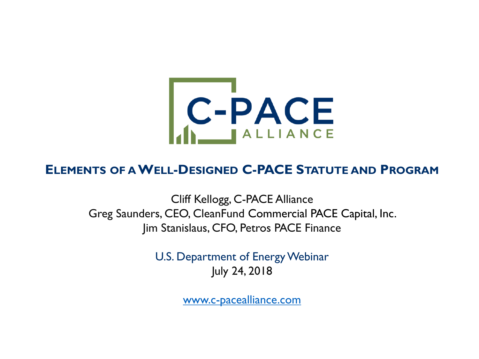

#### **ELEMENTS OF AWELL-DESIGNED C-PACE STATUTE AND PROGRAM**

Cliff Kellogg, C-PACE Alliance Greg Saunders, CEO, CleanFund Commercial PACE Capital, Inc. Jim Stanislaus, CFO, Petros PACE Finance

> U.S. Department of Energy Webinar July 24, 2018

> > [www.c-pacealliance.com](http://www.c-pacealliance.com/)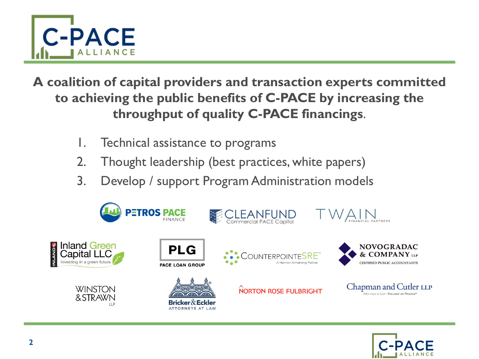

**A coalition of capital providers and transaction experts committed to achieving the public benefits of C-PACE by increasing the throughput of quality C-PACE financings**.

- 1. Technical assistance to programs
- 2. Thought leadership (best practices, white papers)
- 3. Develop / support Program Administration models



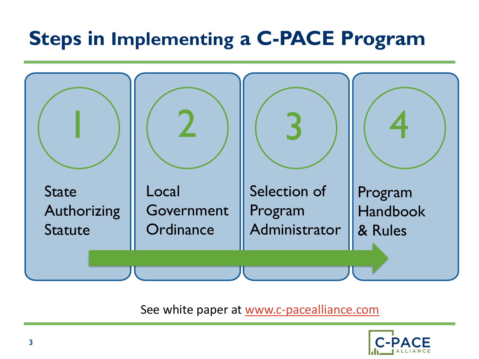# **Steps in Implementing a C-PACE Program**



#### See white paper at [www.c-pacealliance.com](http://www.c-pacealliance.com/)

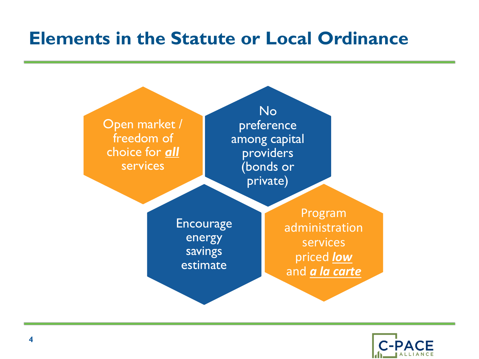

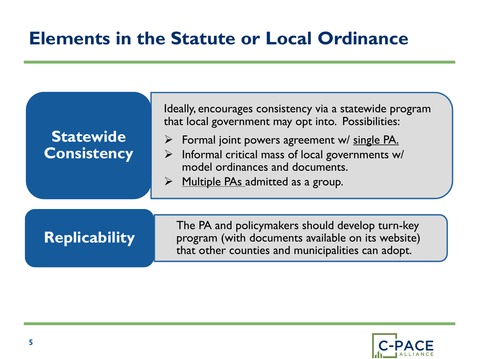| <b>Statewide</b><br><b>Consistency</b> | Ideally, encourages consistency via a statewide program<br>that local government may opt into. Possibilities:<br>$\triangleright$ Formal joint powers agreement w/ single PA.<br>$\triangleright$ Informal critical mass of local governments w/<br>model ordinances and documents.<br>$\triangleright$ Multiple PAs admitted as a group. |
|----------------------------------------|-------------------------------------------------------------------------------------------------------------------------------------------------------------------------------------------------------------------------------------------------------------------------------------------------------------------------------------------|
| <b>Replicability</b>                   | The PA and policymakers should develop turn-key<br>program (with documents available on its website)<br>that other counties and municipalities can adopt.                                                                                                                                                                                 |

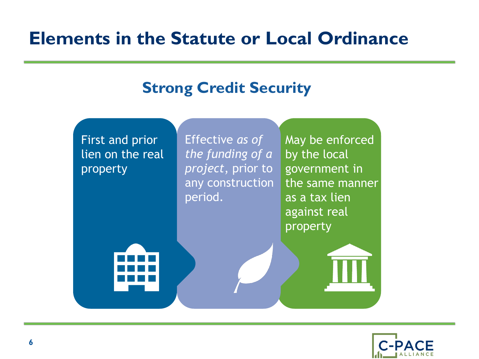#### May be enforced by the local government in the same manner as a tax lien against real property Effective *as of the funding of a project*, prior to any construction period. First and prior lien on the real property **Strong Credit Security**

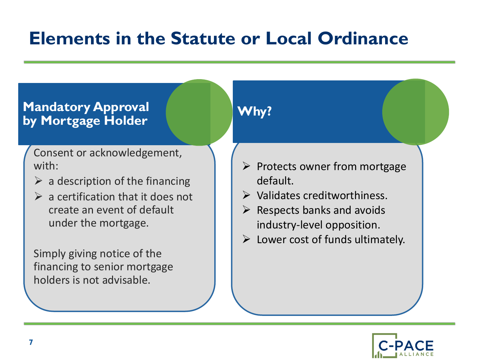#### **Mandatory Approval by Mortgage Holder**

Consent or acknowledgement, with:

- $\triangleright$  a description of the financing
- $\triangleright$  a certification that it does not create an event of default under the mortgage.

Simply giving notice of the financing to senior mortgage holders is not advisable.

### **Why?**

- $\triangleright$  Protects owner from mortgage default.
- ➢ Validates creditworthiness.
- $\triangleright$  Respects banks and avoids industry-level opposition.
- $\triangleright$  Lower cost of funds ultimately.

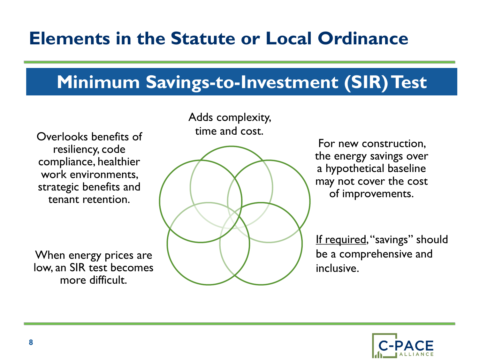# **Minimum Savings-to-Investment (SIR) Test**

time and cost. Overlooks benefits of resiliency, code compliance, healthier work environments, strategic benefits and tenant retention.

When energy prices are low, an SIR test becomes more difficult.

Adds complexity,



For new construction, the energy savings over a hypothetical baseline may not cover the cost of improvements.

If required, "savings" should be a comprehensive and inclusive.

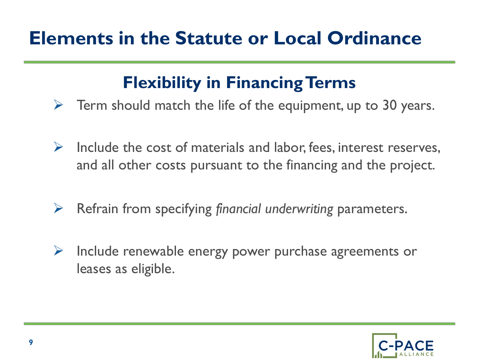### **Flexibility in Financing Terms**

- $\triangleright$  Term should match the life of the equipment, up to 30 years.
- $\triangleright$  Include the cost of materials and labor, fees, interest reserves, and all other costs pursuant to the financing and the project.
- ➢ Refrain from specifying *financial underwriting* parameters.
- ➢ Include renewable energy power purchase agreements or leases as eligible.

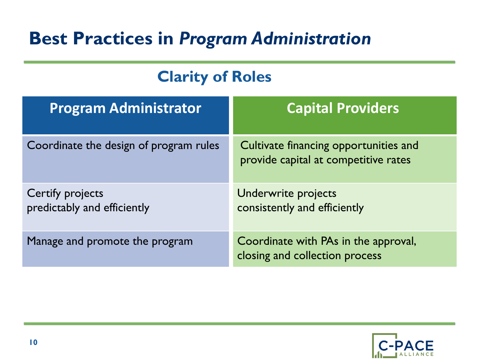### **Clarity of Roles**

| <b>Program Administrator</b>                    | <b>Capital Providers</b>                                                      |
|-------------------------------------------------|-------------------------------------------------------------------------------|
| Coordinate the design of program rules          | Cultivate financing opportunities and<br>provide capital at competitive rates |
| Certify projects<br>predictably and efficiently | Underwrite projects<br>consistently and efficiently                           |
| Manage and promote the program                  | Coordinate with PAs in the approval,<br>closing and collection process        |

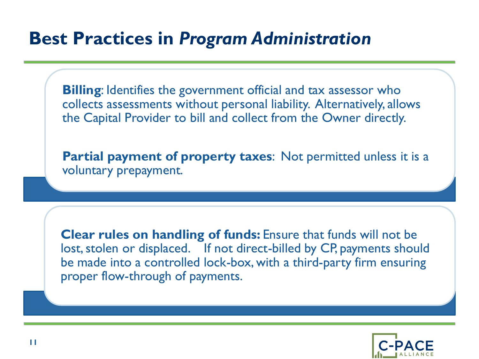**Billing**: Identifies the government official and tax assessor who collects assessments without personal liability. Alternatively, allows the Capital Provider to bill and collect from the Owner directly.

**Partial payment of property taxes**: Not permitted unless it is a voluntary prepayment.

**Clear rules on handling of funds:** Ensure that funds will not be lost, stolen or displaced. If not direct-billed by CP, payments should be made into a controlled lock-box, with a third-party firm ensuring proper flow-through of payments.

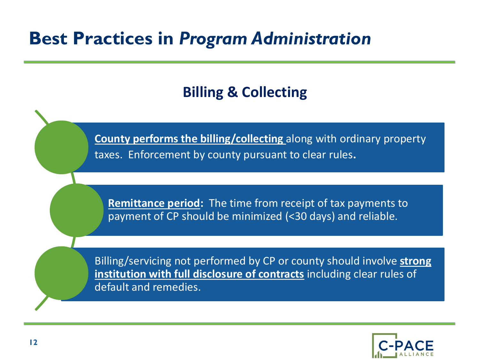### **Billing & Collecting**

**County performs the billing/collecting** along with ordinary property taxes. Enforcement by county pursuant to clear rules.

**Remittance period:** The time from receipt of tax payments to payment of CP should be minimized (<30 days) and reliable.

Billing/servicing not performed by CP or county should involve **strong institution with full disclosure of contracts** including clear rules of default and remedies.

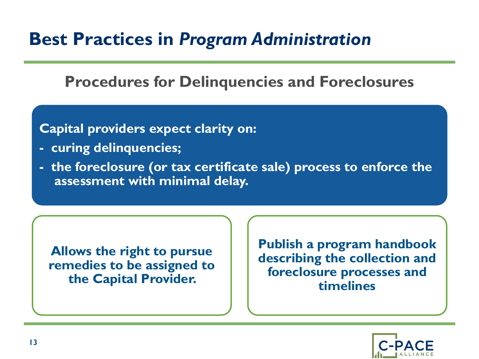#### **Procedures for Delinquencies and Foreclosures**

#### **Capital providers expect clarity on:**

- **- curing delinquencies;**
- **- the foreclosure (or tax certificate sale) process to enforce the assessment with minimal delay.**

**Allows the right to pursue remedies to be assigned to the Capital Provider.** 

**Publish a program handbook describing the collection and foreclosure processes and timelines**

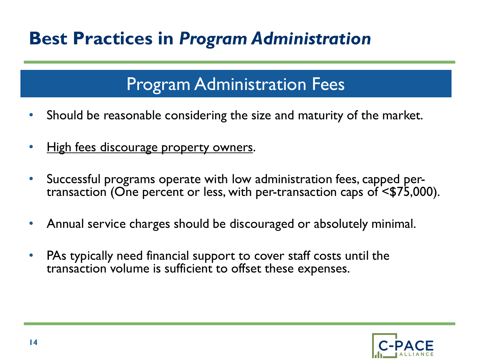### Program Administration Fees

- Should be reasonable considering the size and maturity of the market.
- High fees discourage property owners.
- Successful programs operate with low administration fees, capped pertransaction (One percent or less, with per-transaction caps of <\$75,000).
- Annual service charges should be discouraged or absolutely minimal.
- PAs typically need financial support to cover staff costs until the transaction volume is sufficient to offset these expenses.

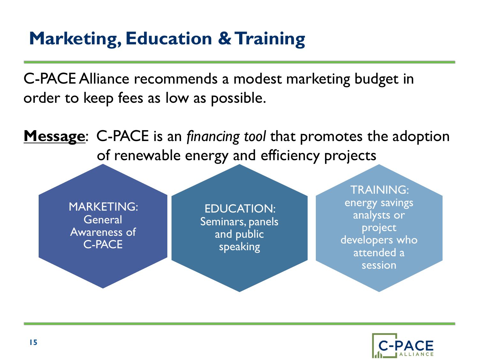# **Marketing, Education & Training**

C-PACE Alliance recommends a modest marketing budget in order to keep fees as low as possible.

**Message**: C-PACE is an *financing tool* that promotes the adoption of renewable energy and efficiency projects

MARKETING: **General** Awareness of C-PACE

EDUCATION: Seminars, panels and public speaking

TRAINING: energy savings analysts or project developers who attended a session

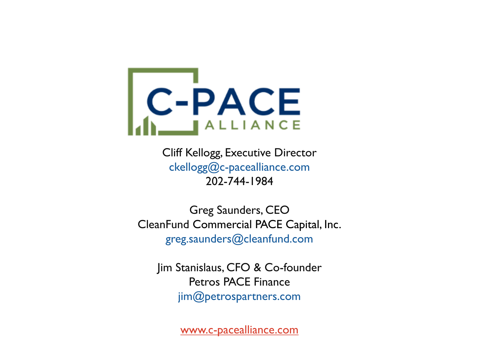

Cliff Kellogg, Executive Director ckellogg@c-pacealliance.com 202-744-1984

Greg Saunders, CEO CleanFund Commercial PACE Capital, Inc. greg.saunders@cleanfund.com

Jim Stanislaus, CFO & Co-founder Petros PACE Finance jim@petrospartners.com

[www.c-pacealliance.com](http://www.c-pacealliance.com/)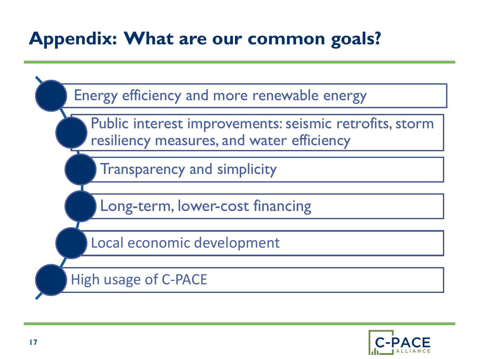# **Appendix: What are our common goals?**

Energy efficiency and more renewable energy Public interest improvements: seismic retrofits, storm resiliency measures, and water efficiency Transparency and simplicity Long-term, lower-cost financing Local economic development High usage of C-PACE

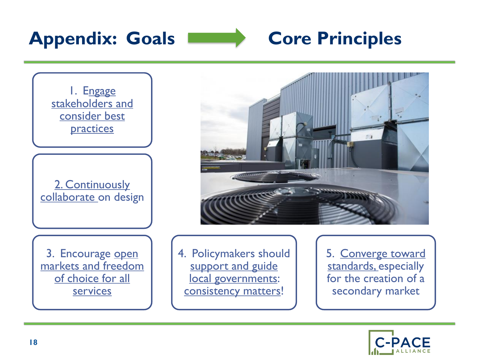



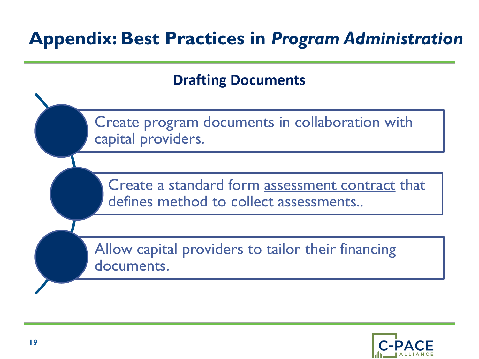## **Appendix: Best Practices in** *Program Administration*

**Drafting Documents**

Create program documents in collaboration with capital providers.

Create a standard form assessment contract that defines method to collect assessments..

Allow capital providers to tailor their financing documents.

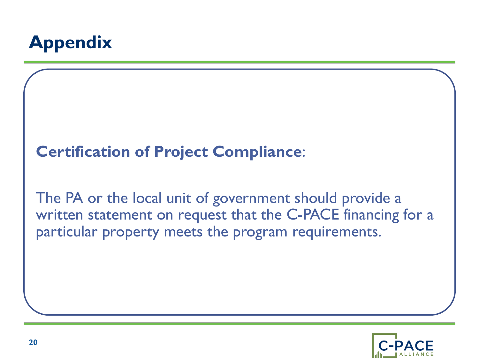

### **Certification of Project Compliance**:

The PA or the local unit of government should provide a written statement on request that the C-PACE financing for a particular property meets the program requirements.

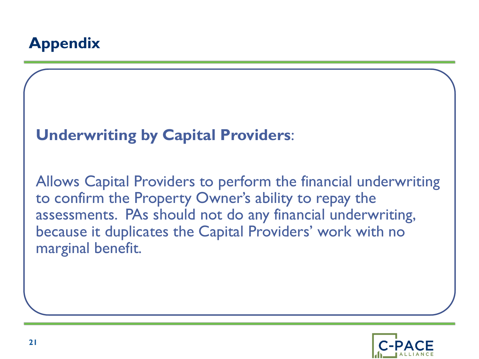### **Appendix**

#### **Underwriting by Capital Providers**:

Allows Capital Providers to perform the financial underwriting to confirm the Property Owner's ability to repay the assessments. PAs should not do any financial underwriting, because it duplicates the Capital Providers' work with no marginal benefit.

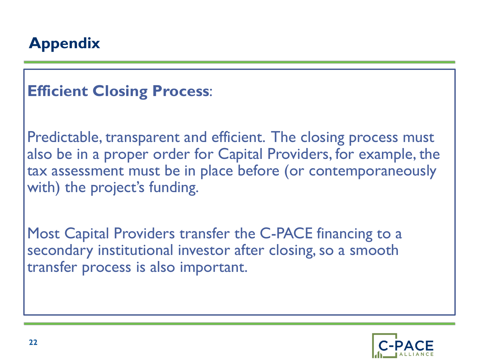### **Appendix**

### **Efficient Closing Process**:

Predictable, transparent and efficient. The closing process must also be in a proper order for Capital Providers, for example, the tax assessment must be in place before (or contemporaneously with) the project's funding.

Most Capital Providers transfer the C-PACE financing to a secondary institutional investor after closing, so a smooth transfer process is also important.